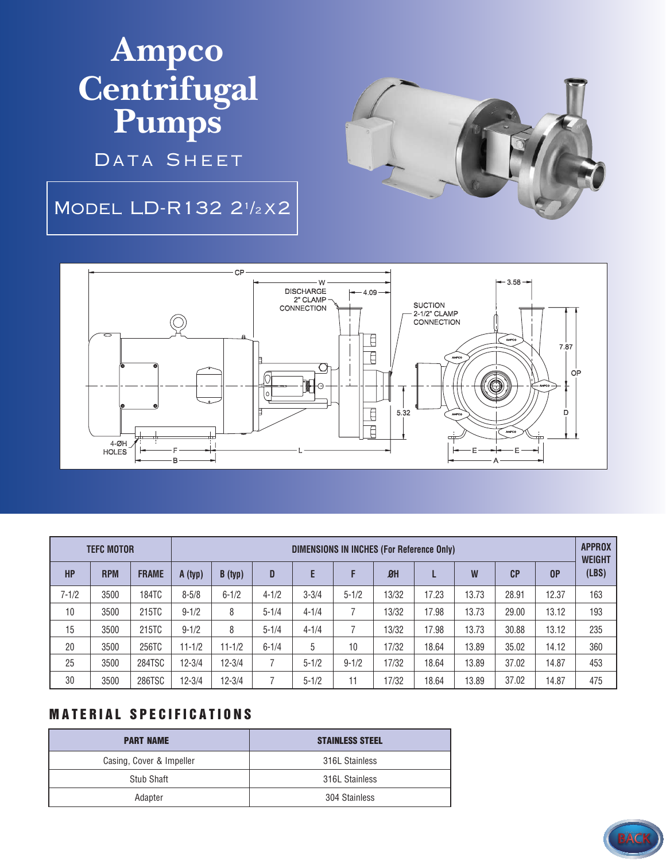## **Ampco Centrifugal Pumps**

DATA SHEET

## Model LD-R132 2<sup>1</sup> /<sup>2</sup> x2





| <b>TEFC MOTOR</b> |            |              | DIMENSIONS IN INCHES (For Reference Only) |            |           |           |           |                |       |       |       |       | <b>APPROX</b><br><b>WEIGHT</b> |
|-------------------|------------|--------------|-------------------------------------------|------------|-----------|-----------|-----------|----------------|-------|-------|-------|-------|--------------------------------|
| <b>HP</b>         | <b>RPM</b> | <b>FRAME</b> | A (typ)                                   | B (typ)    | D         | E         | F         | B <sub>H</sub> |       | W     | CP    | 0P    | (LBS)                          |
| $7 - 1/2$         | 3500       | 184TC        | $8 - 5/8$                                 | $6 - 1/2$  | $4 - 1/2$ | $3 - 3/4$ | $5 - 1/2$ | 13/32          | 17.23 | 13.73 | 28.91 | 12.37 | 163                            |
| 10                | 3500       | 215TC        | $9 - 1/2$                                 | 8          | $5 - 1/4$ | $4 - 1/4$ |           | 13/32          | 17.98 | 13.73 | 29.00 | 13.12 | 193                            |
| 15                | 3500       | 215TC        | $9 - 1/2$                                 | 8          | $5 - 1/4$ | $4 - 1/4$ |           | 13/32          | 17.98 | 13.73 | 30.88 | 13.12 | 235                            |
| 20                | 3500       | 256TC        | $11 - 1/2$                                | $11 - 1/2$ | $6 - 1/4$ | 5         | 10        | 17/32          | 18.64 | 13.89 | 35.02 | 14.12 | 360                            |
| 25                | 3500       | 284TSC       | $12 - 3/4$                                | $12 - 3/4$ |           | $5 - 1/2$ | $9 - 1/2$ | 17/32          | 18.64 | 13.89 | 37.02 | 14.87 | 453                            |
| 30                | 3500       | 286TSC       | $12 - 3/4$                                | $12 - 3/4$ |           | $5 - 1/2$ | 11        | 17/32          | 18.64 | 13.89 | 37.02 | 14.87 | 475                            |

## **MATERIAL SPECIFICATIONS**

| <b>PART NAME</b>         | <b>STAINLESS STEEL</b> |  |  |  |
|--------------------------|------------------------|--|--|--|
| Casing, Cover & Impeller | 316L Stainless         |  |  |  |
| Stub Shaft               | 316L Stainless         |  |  |  |
| Adapter                  | 304 Stainless          |  |  |  |